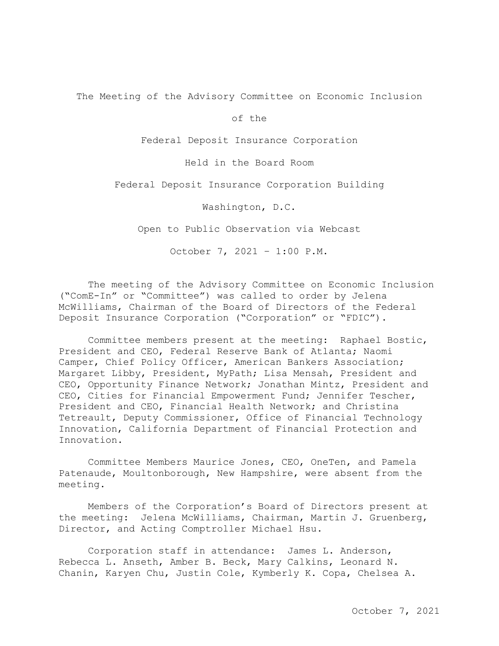The Meeting of the Advisory Committee on Economic Inclusion

of the

Federal Deposit Insurance Corporation

Held in the Board Room

Federal Deposit Insurance Corporation Building

Washington, D.C.

Open to Public Observation via Webcast

October 7, 2021 – 1:00 P.M.

The meeting of the Advisory Committee on Economic Inclusion ("ComE-In" or "Committee") was called to order by Jelena McWilliams, Chairman of the Board of Directors of the Federal Deposit Insurance Corporation ("Corporation" or "FDIC").

Committee members present at the meeting: Raphael Bostic, President and CEO, Federal Reserve Bank of Atlanta; Naomi Camper, Chief Policy Officer, American Bankers Association; Margaret Libby, President, MyPath; Lisa Mensah, President and CEO, Opportunity Finance Network; Jonathan Mintz, President and CEO, Cities for Financial Empowerment Fund; Jennifer Tescher, President and CEO, Financial Health Network; and Christina Tetreault, Deputy Commissioner, Office of Financial Technology Innovation, California Department of Financial Protection and Innovation.

 Patenaude, Moultonborough, New Hampshire, were absent from the Committee Members Maurice Jones, CEO, OneTen, and Pamela meeting.<br>Members of the Corporation's Board of Directors present at

the meeting: Jelena McWilliams, Chairman, Martin J. Gruenberg, Director, and Acting Comptroller Michael Hsu.

Corporation staff in attendance: James L. Anderson, Rebecca L. Anseth, Amber B. Beck, Mary Calkins, Leonard N. Chanin, Karyen Chu, Justin Cole, Kymberly K. Copa, Chelsea A.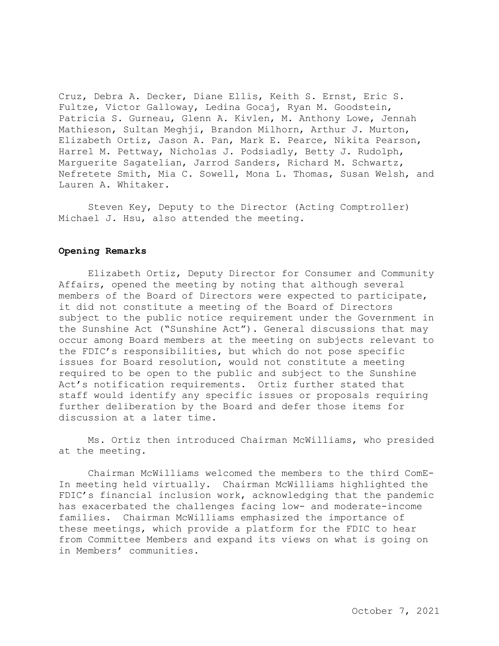Cruz, Debra A. Decker, Diane Ellis, Keith S. Ernst, Eric S. Fultze, Victor Galloway, Ledina Gocaj, Ryan M. Goodstein, Patricia S. Gurneau, Glenn A. Kivlen, M. Anthony Lowe, Jennah Mathieson, Sultan Meghji, Brandon Milhorn, Arthur J. Murton, Elizabeth Ortiz, Jason A. Pan, Mark E. Pearce, Nikita Pearson, Harrel M. Pettway, Nicholas J. Podsiadly, Betty J. Rudolph, Marguerite Sagatelian, Jarrod Sanders, Richard M. Schwartz, Nefretete Smith, Mia C. Sowell, Mona L. Thomas, Susan Welsh, and Lauren A. Whitaker.

Steven Key, Deputy to the Director (Acting Comptroller) Michael J. Hsu, also attended the meeting.

## **Opening Remarks**

 Act's notification requirements. Ortiz further stated that Elizabeth Ortiz, Deputy Director for Consumer and Community Affairs, opened the meeting by noting that although several members of the Board of Directors were expected to participate, it did not constitute a meeting of the Board of Directors subject to the public notice requirement under the Government in the Sunshine Act ("Sunshine Act"). General discussions that may occur among Board members at the meeting on subjects relevant to the FDIC's responsibilities, but which do not pose specific issues for Board resolution, would not constitute a meeting required to be open to the public and subject to the Sunshine staff would identify any specific issues or proposals requiring further deliberation by the Board and defer those items for discussion at a later time.

Ms. Ortiz then introduced Chairman McWilliams, who presided at the meeting.

 at the meeting. Chairman McWilliams welcomed the members to the third ComE-In meeting held virtually. Chairman McWilliams highlighted the FDIC's financial inclusion work, acknowledging that the pandemic has exacerbated the challenges facing low- and moderate-income families. Chairman McWilliams emphasized the importance of these meetings, which provide a platform for the FDIC to hear from Committee Members and expand its views on what is going on in Members' communities.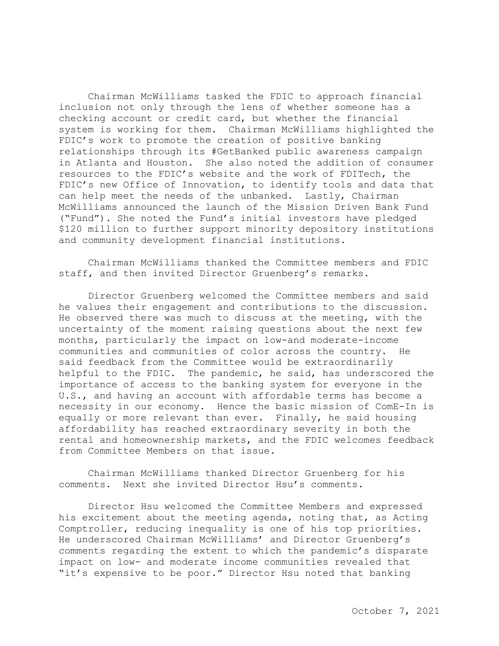FDIC's work to promote the creation of positive banking in Atlanta and Houston. She also noted the addition of consumer Chairman McWilliams tasked the FDIC to approach financial inclusion not only through the lens of whether someone has a checking account or credit card, but whether the financial system is working for them. Chairman McWilliams highlighted the relationships through its #GetBanked public awareness campaign resources to the FDIC's website and the work of FDITech, the FDIC's new Office of Innovation, to identify tools and data that can help meet the needs of the unbanked. Lastly, Chairman McWilliams announced the launch of the Mission Driven Bank Fund ("Fund"). She noted the Fund's initial investors have pledged \$120 million to further support minority depository institutions and community development financial institutions.

Chairman McWilliams thanked the Committee members and FDIC staff, and then invited Director Gruenberg's remarks.

Director Gruenberg welcomed the Committee members and said he values their engagement and contributions to the discussion. He observed there was much to discuss at the meeting, with the uncertainty of the moment raising questions about the next few months, particularly the impact on low-and moderate-income communities and communities of color across the country. He said feedback from the Committee would be extraordinarily helpful to the FDIC. The pandemic, he said, has underscored the importance of access to the banking system for everyone in the U.S., and having an account with affordable terms has become a necessity in our economy. Hence the basic mission of ComE-In is equally or more relevant than ever. Finally, he said housing affordability has reached extraordinary severity in both the rental and homeownership markets, and the FDIC welcomes feedback from Committee Members on that issue.

 comments. Next she invited Director Hsu's comments. Chairman McWilliams thanked Director Gruenberg for his

 impact on low- and moderate income communities revealed that Director Hsu welcomed the Committee Members and expressed his excitement about the meeting agenda, noting that, as Acting Comptroller, reducing inequality is one of his top priorities. He underscored Chairman McWilliams' and Director Gruenberg's comments regarding the extent to which the pandemic's disparate "it's expensive to be poor." Director Hsu noted that banking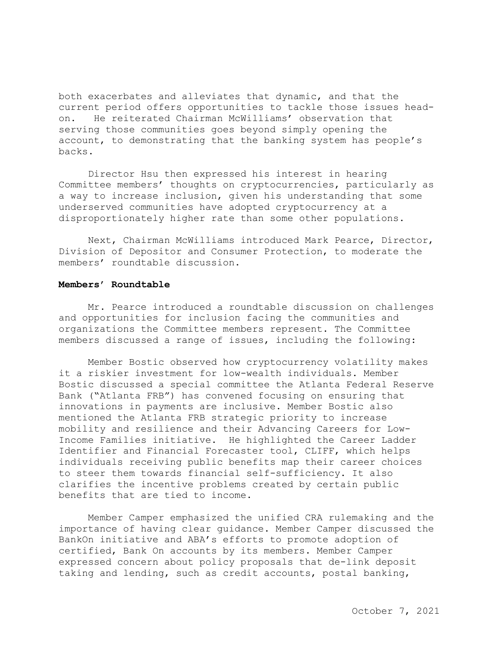on. He reiterated Chairman McWilliams' observation that serving those communities goes beyond simply opening the both exacerbates and alleviates that dynamic, and that the current period offers opportunities to tackle those issues headaccount, to demonstrating that the banking system has people's backs.

Director Hsu then expressed his interest in hearing Committee members' thoughts on cryptocurrencies, particularly as a way to increase inclusion, given his understanding that some underserved communities have adopted cryptocurrency at a disproportionately higher rate than some other populations.

Next, Chairman McWilliams introduced Mark Pearce, Director, Division of Depositor and Consumer Protection, to moderate the members' roundtable discussion.

#### **Members' Roundtable**

 and opportunities for inclusion facing the communities and Mr. Pearce introduced a roundtable discussion on challenges organizations the Committee members represent. The Committee members discussed a range of issues, including the following:

Member Bostic observed how cryptocurrency volatility makes it a riskier investment for low-wealth individuals. Member Bostic discussed a special committee the Atlanta Federal Reserve Bank ("Atlanta FRB") has convened focusing on ensuring that innovations in payments are inclusive. Member Bostic also mentioned the Atlanta FRB strategic priority to increase mobility and resilience and their Advancing Careers for Low-Income Families initiative. He highlighted the Career Ladder Identifier and Financial Forecaster tool, CLIFF, which helps individuals receiving public benefits map their career choices to steer them towards financial self-sufficiency. It also clarifies the incentive problems created by certain public benefits that are tied to income.

 BankOn initiative and ABA's efforts to promote adoption of Member Camper emphasized the unified CRA rulemaking and the importance of having clear guidance. Member Camper discussed the certified, Bank On accounts by its members. Member Camper expressed concern about policy proposals that de-link deposit taking and lending, such as credit accounts, postal banking,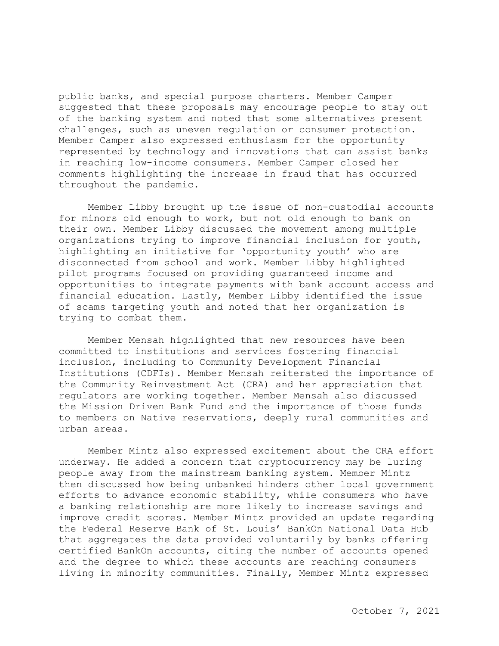public banks, and special purpose charters. Member Camper suggested that these proposals may encourage people to stay out of the banking system and noted that some alternatives present challenges, such as uneven regulation or consumer protection. Member Camper also expressed enthusiasm for the opportunity represented by technology and innovations that can assist banks in reaching low-income consumers. Member Camper closed her comments highlighting the increase in fraud that has occurred throughout the pandemic.

Member Libby brought up the issue of non-custodial accounts for minors old enough to work, but not old enough to bank on their own. Member Libby discussed the movement among multiple organizations trying to improve financial inclusion for youth, highlighting an initiative for 'opportunity youth' who are disconnected from school and work. Member Libby highlighted pilot programs focused on providing guaranteed income and opportunities to integrate payments with bank account access and financial education. Lastly, Member Libby identified the issue of scams targeting youth and noted that her organization is trying to combat them.

 to members on Native reservations, deeply rural communities and Member Mensah highlighted that new resources have been committed to institutions and services fostering financial inclusion, including to Community Development Financial Institutions (CDFIs). Member Mensah reiterated the importance of the Community Reinvestment Act (CRA) and her appreciation that regulators are working together. Member Mensah also discussed the Mission Driven Bank Fund and the importance of those funds urban areas.

 Member Mintz also expressed excitement about the CRA effort efforts to advance economic stability, while consumers who have that aggregates the data provided voluntarily by banks offering underway. He added a concern that cryptocurrency may be luring people away from the mainstream banking system. Member Mintz then discussed how being unbanked hinders other local government a banking relationship are more likely to increase savings and improve credit scores. Member Mintz provided an update regarding the Federal Reserve Bank of St. Louis' BankOn National Data Hub certified BankOn accounts, citing the number of accounts opened and the degree to which these accounts are reaching consumers living in minority communities. Finally, Member Mintz expressed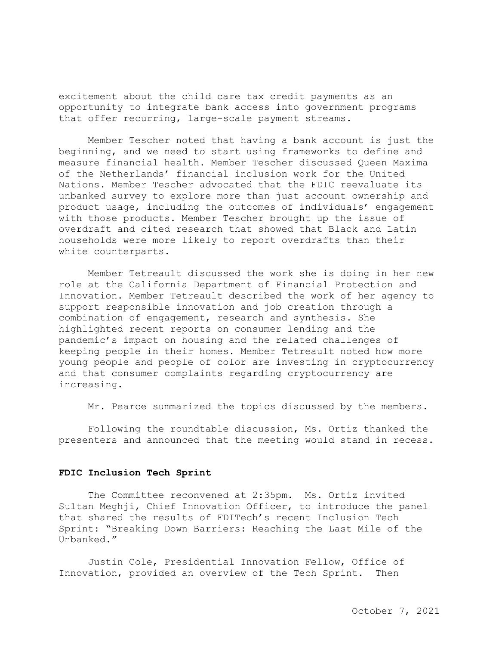excitement about the child care tax credit payments as an opportunity to integrate bank access into government programs that offer recurring, large-scale payment streams.

 Member Tescher noted that having a bank account is just the beginning, and we need to start using frameworks to define and measure financial health. Member Tescher discussed Queen Maxima of the Netherlands' financial inclusion work for the United Nations. Member Tescher advocated that the FDIC reevaluate its unbanked survey to explore more than just account ownership and product usage, including the outcomes of individuals' engagement with those products. Member Tescher brought up the issue of overdraft and cited research that showed that Black and Latin households were more likely to report overdrafts than their white counterparts.

 keeping people in their homes. Member Tetreault noted how more Member Tetreault discussed the work she is doing in her new role at the California Department of Financial Protection and Innovation. Member Tetreault described the work of her agency to support responsible innovation and job creation through a combination of engagement, research and synthesis. She highlighted recent reports on consumer lending and the pandemic's impact on housing and the related challenges of young people and people of color are investing in cryptocurrency and that consumer complaints regarding cryptocurrency are increasing.

Mr. Pearce summarized the topics discussed by the members.

Following the roundtable discussion, Ms. Ortiz thanked the presenters and announced that the meeting would stand in recess.

### **FDIC Inclusion Tech Sprint**

 The Committee reconvened at 2:35pm. Ms. Ortiz invited Sultan Meghji, Chief Innovation Officer, to introduce the panel that shared the results of FDITech's recent Inclusion Tech Sprint: "Breaking Down Barriers: Reaching the Last Mile of the Unbanked."

Justin Cole, Presidential Innovation Fellow, Office of Innovation, provided an overview of the Tech Sprint. Then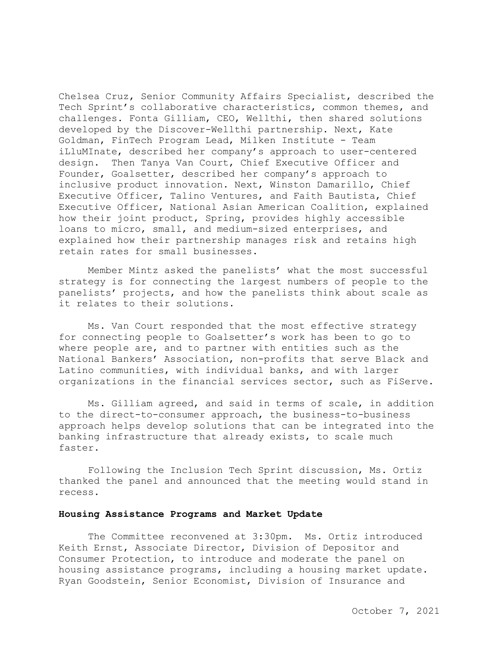how their joint product, Spring, provides highly accessible Chelsea Cruz, Senior Community Affairs Specialist, described the Tech Sprint's collaborative characteristics, common themes, and challenges. Fonta Gilliam, CEO, Wellthi, then shared solutions developed by the Discover-Wellthi partnership. Next, Kate Goldman, FinTech Program Lead, Milken Institute - Team iLluMInate, described her company's approach to user-centered design. Then Tanya Van Court, Chief Executive Officer and Founder, Goalsetter, described her company's approach to inclusive product innovation. Next, Winston Damarillo, Chief Executive Officer, Talino Ventures, and Faith Bautista, Chief Executive Officer, National Asian American Coalition, explained loans to micro, small, and medium-sized enterprises, and explained how their partnership manages risk and retains high retain rates for small businesses.

 Member Mintz asked the panelists' what the most successful strategy is for connecting the largest numbers of people to the panelists' projects, and how the panelists think about scale as it relates to their solutions.

Ms. Van Court responded that the most effective strategy for connecting people to Goalsetter's work has been to go to where people are, and to partner with entities such as the National Bankers' Association, non-profits that serve Black and Latino communities, with individual banks, and with larger organizations in the financial services sector, such as FiServe.

Ms. Gilliam agreed, and said in terms of scale, in addition to the direct-to-consumer approach, the business-to-business approach helps develop solutions that can be integrated into the banking infrastructure that already exists, to scale much faster.

Following the Inclusion Tech Sprint discussion, Ms. Ortiz thanked the panel and announced that the meeting would stand in recess.

#### **Housing Assistance Programs and Market Update**

The Committee reconvened at 3:30pm. Ms. Ortiz introduced Keith Ernst, Associate Director, Division of Depositor and Consumer Protection, to introduce and moderate the panel on housing assistance programs, including a housing market update. Ryan Goodstein, Senior Economist, Division of Insurance and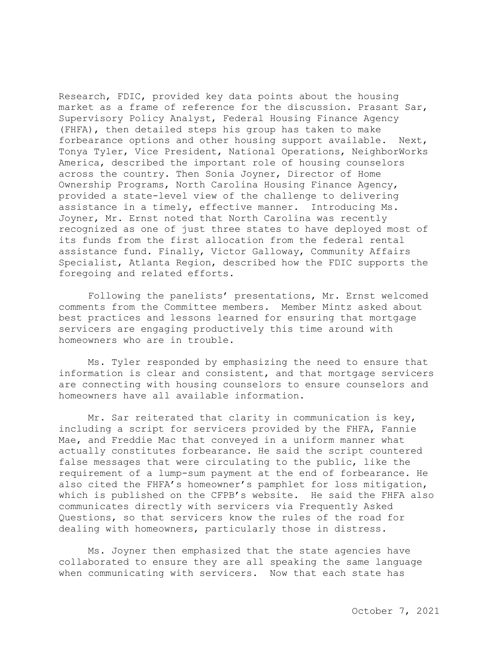forbearance options and other housing support available. Next, Research, FDIC, provided key data points about the housing market as a frame of reference for the discussion. Prasant Sar, Supervisory Policy Analyst, Federal Housing Finance Agency (FHFA), then detailed steps his group has taken to make Tonya Tyler, Vice President, National Operations, NeighborWorks America, described the important role of housing counselors across the country. Then Sonia Joyner, Director of Home Ownership Programs, North Carolina Housing Finance Agency, provided a state-level view of the challenge to delivering assistance in a timely, effective manner. Introducing Ms. Joyner, Mr. Ernst noted that North Carolina was recently recognized as one of just three states to have deployed most of its funds from the first allocation from the federal rental assistance fund. Finally, Victor Galloway, Community Affairs Specialist, Atlanta Region, described how the FDIC supports the foregoing and related efforts.

Following the panelists' presentations, Mr. Ernst welcomed comments from the Committee members. Member Mintz asked about best practices and lessons learned for ensuring that mortgage servicers are engaging productively this time around with homeowners who are in trouble.

Ms. Tyler responded by emphasizing the need to ensure that information is clear and consistent, and that mortgage servicers are connecting with housing counselors to ensure counselors and homeowners have all available information.

Mr. Sar reiterated that clarity in communication is key, including a script for servicers provided by the FHFA, Fannie Mae, and Freddie Mac that conveyed in a uniform manner what actually constitutes forbearance. He said the script countered false messages that were circulating to the public, like the requirement of a lump-sum payment at the end of forbearance. He also cited the FHFA's homeowner's pamphlet for loss mitigation, which is published on the CFPB's website. He said the FHFA also communicates directly with servicers via Frequently Asked Questions, so that servicers know the rules of the road for dealing with homeowners, particularly those in distress.

Ms. Joyner then emphasized that the state agencies have collaborated to ensure they are all speaking the same language when communicating with servicers. Now that each state has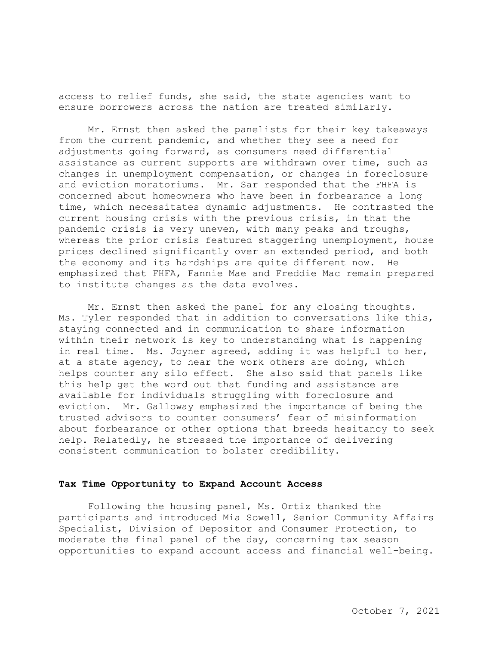access to relief funds, she said, the state agencies want to ensure borrowers across the nation are treated similarly.

 the economy and its hardships are quite different now. He Mr. Ernst then asked the panelists for their key takeaways from the current pandemic, and whether they see a need for adjustments going forward, as consumers need differential assistance as current supports are withdrawn over time, such as changes in unemployment compensation, or changes in foreclosure and eviction moratoriums. Mr. Sar responded that the FHFA is concerned about homeowners who have been in forbearance a long time, which necessitates dynamic adjustments. He contrasted the current housing crisis with the previous crisis, in that the pandemic crisis is very uneven, with many peaks and troughs, whereas the prior crisis featured staggering unemployment, house prices declined significantly over an extended period, and both emphasized that FHFA, Fannie Mae and Freddie Mac remain prepared to institute changes as the data evolves.

Mr. Ernst then asked the panel for any closing thoughts. Ms. Tyler responded that in addition to conversations like this, staying connected and in communication to share information within their network is key to understanding what is happening in real time. Ms. Joyner agreed, adding it was helpful to her, at a state agency, to hear the work others are doing, which helps counter any silo effect. She also said that panels like this help get the word out that funding and assistance are available for individuals struggling with foreclosure and eviction. Mr. Galloway emphasized the importance of being the trusted advisors to counter consumers' fear of misinformation about forbearance or other options that breeds hesitancy to seek help. Relatedly, he stressed the importance of delivering consistent communication to bolster credibility.

### **Tax Time Opportunity to Expand Account Access**

Following the housing panel, Ms. Ortiz thanked the participants and introduced Mia Sowell, Senior Community Affairs Specialist, Division of Depositor and Consumer Protection, to moderate the final panel of the day, concerning tax season opportunities to expand account access and financial well-being.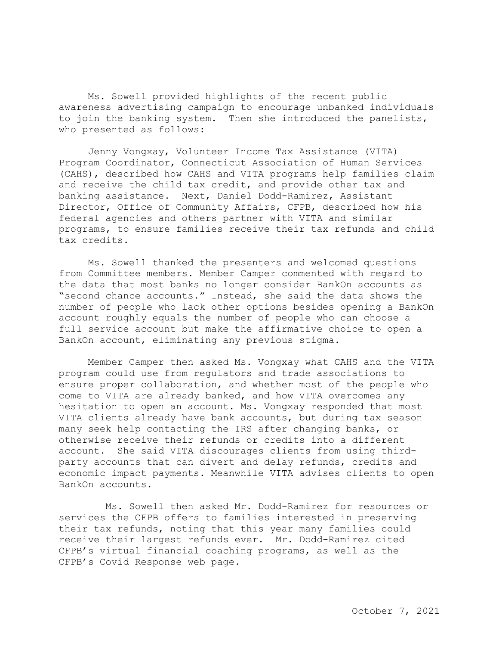Ms. Sowell provided highlights of the recent public awareness advertising campaign to encourage unbanked individuals to join the banking system. Then she introduced the panelists, who presented as follows:

Jenny Vongxay, Volunteer Income Tax Assistance (VITA) Program Coordinator, Connecticut Association of Human Services (CAHS), described how CAHS and VITA programs help families claim and receive the child tax credit, and provide other tax and banking assistance. Next, Daniel Dodd-Ramirez, Assistant Director, Office of Community Affairs, CFPB, described how his federal agencies and others partner with VITA and similar programs, to ensure families receive their tax refunds and child tax credits.

Ms. Sowell thanked the presenters and welcomed questions from Committee members. Member Camper commented with regard to the data that most banks no longer consider BankOn accounts as "second chance accounts." Instead, she said the data shows the number of people who lack other options besides opening a BankOn account roughly equals the number of people who can choose a full service account but make the affirmative choice to open a BankOn account, eliminating any previous stigma.

Member Camper then asked Ms. Vongxay what CAHS and the VITA program could use from regulators and trade associations to ensure proper collaboration, and whether most of the people who come to VITA are already banked, and how VITA overcomes any hesitation to open an account. Ms. Vongxay responded that most VITA clients already have bank accounts, but during tax season many seek help contacting the IRS after changing banks, or otherwise receive their refunds or credits into a different account. She said VITA discourages clients from using thirdparty accounts that can divert and delay refunds, credits and economic impact payments. Meanwhile VITA advises clients to open BankOn accounts.

Ms. Sowell then asked Mr. Dodd-Ramirez for resources or services the CFPB offers to families interested in preserving their tax refunds, noting that this year many families could receive their largest refunds ever. Mr. Dodd-Ramirez cited CFPB's virtual financial coaching programs, as well as the CFPB's Covid Response web page.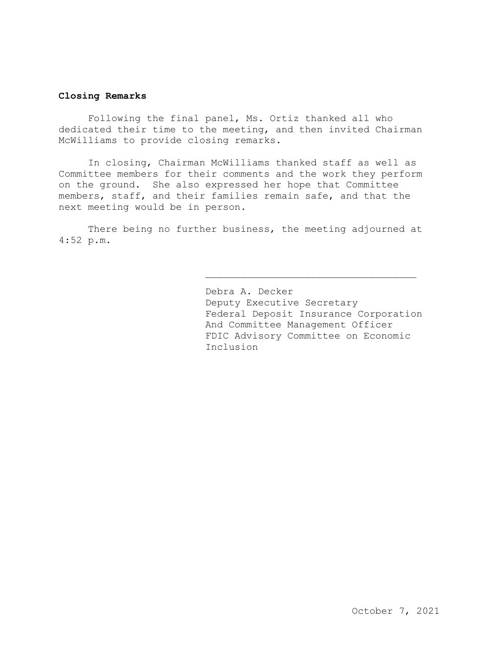### **Closing Remarks**

Following the final panel, Ms. Ortiz thanked all who dedicated their time to the meeting, and then invited Chairman McWilliams to provide closing remarks.

In closing, Chairman McWilliams thanked staff as well as Committee members for their comments and the work they perform on the ground. She also expressed her hope that Committee members, staff, and their families remain safe, and that the next meeting would be in person.

 4:52 p.m. There being no further business, the meeting adjourned at

> Debra A. Decker Deputy Executive Secretary Federal Deposit Insurance Corporation And Committee Management Officer FDIC Advisory Committee on Economic Inclusion

> \_\_\_\_\_\_\_\_\_\_\_\_\_\_\_\_\_\_\_\_\_\_\_\_\_\_\_\_\_\_\_\_\_\_\_\_